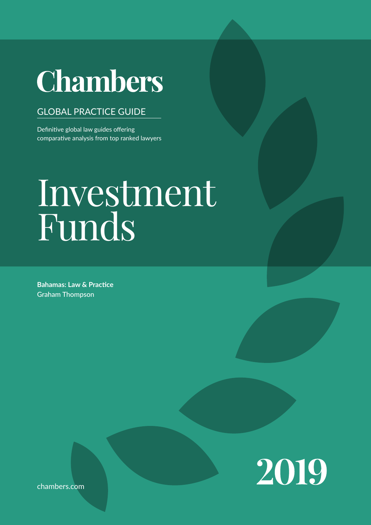# **Chambers**

## GLOBAL PRACTICE GUIDE

Definitive global law guides offering comparative analysis from top ranked lawyers

# $C^{\bullet}$  Contributed by Graham Thompson  $\mathbf{L}$ The 'Law & Practice' sections provide easily accessible information on Investment Funds

**Bahamas: Law & Practice** Graham Thompson



The 'Trends & Developments' sections give an overview of current trends and developments in local legal markets. Leading lawyers analyse particular trends or provide a broader discussion of key develop-

chambers.com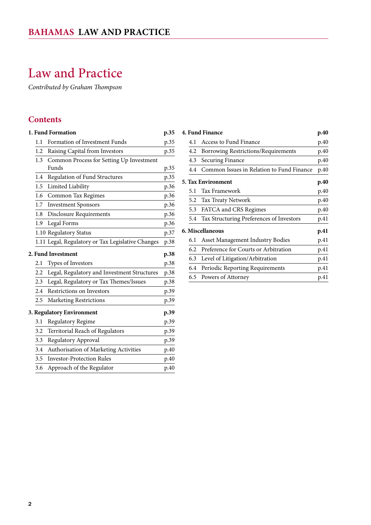## <span id="page-1-0"></span>Law and Practice

*Contributed by Graham Thompson*

## **Contents**

|                                   | <b>1. Fund Formation</b><br>p.35 |                                                   |      |  |
|-----------------------------------|----------------------------------|---------------------------------------------------|------|--|
|                                   | 1.1                              | Formation of Investment Funds                     | p.35 |  |
|                                   | 1.2                              | Raising Capital from Investors                    | p.35 |  |
|                                   | 1.3                              | Common Process for Setting Up Investment          |      |  |
|                                   |                                  | Funds                                             | p.35 |  |
|                                   | 1.4                              | Regulation of Fund Structures                     | p.35 |  |
|                                   | 1.5                              | Limited Liability                                 | p.36 |  |
|                                   | 1.6                              | Common Tax Regimes                                | p.36 |  |
|                                   | 1.7                              | <b>Investment Sponsors</b>                        | p.36 |  |
|                                   | 1.8                              | <b>Disclosure Requirements</b>                    | p.36 |  |
|                                   | 1.9                              | Legal Forms                                       | p.36 |  |
|                                   |                                  | 1.10 Regulatory Status                            | p.37 |  |
|                                   |                                  | 1.11 Legal, Regulatory or Tax Legislative Changes | p.38 |  |
|                                   | <b>2. Fund Investment</b>        |                                                   |      |  |
|                                   | 2.1                              | Types of Investors                                | p.38 |  |
|                                   | 2.2                              | Legal, Regulatory and Investment Structures       | p.38 |  |
|                                   | 2.3                              | Legal, Regulatory or Tax Themes/Issues            | p.38 |  |
|                                   | 2.4                              | Restrictions on Investors                         | p.39 |  |
|                                   | 2.5                              | <b>Marketing Restrictions</b>                     | p.39 |  |
| 3. Regulatory Environment<br>p.39 |                                  |                                                   |      |  |
|                                   | 3.1                              | Regulatory Regime                                 | p.39 |  |
|                                   | 3.2                              | Territorial Reach of Regulators                   | p.39 |  |
|                                   | 3.3                              | Regulatory Approval                               | p.39 |  |
|                                   | 3.4                              | Authorisation of Marketing Activities             | p.40 |  |
|                                   | 3.5                              | <b>Investor-Protection Rules</b>                  | p.40 |  |
|                                   | 3.6                              | Approach of the Regulator                         | p.40 |  |
|                                   |                                  |                                                   |      |  |

| <b>4. Fund Finance</b><br>p.40 |                                               |      |  |  |
|--------------------------------|-----------------------------------------------|------|--|--|
| 4.1                            | Access to Fund Finance                        | p.40 |  |  |
| 4.2                            | Borrowing Restrictions/Requirements           | p.40 |  |  |
| 4.3                            | <b>Securing Finance</b>                       | p.40 |  |  |
|                                | 4.4 Common Issues in Relation to Fund Finance | p.40 |  |  |
|                                | <b>5. Tax Environment</b>                     | p.40 |  |  |
| 5.1                            | Tax Framework                                 | p.40 |  |  |
|                                | 5.2 Tax Treaty Network                        | p.40 |  |  |
|                                | 5.3 FATCA and CRS Regimes                     | p.40 |  |  |
|                                | 5.4 Tax Structuring Preferences of Investors  | p.41 |  |  |
|                                | 6. Miscellaneous                              | p.41 |  |  |
| 6.1                            | Asset Management Industry Bodies              | p.41 |  |  |
| 6.2                            | Preference for Courts or Arbitration          | p.41 |  |  |
| 6.3                            | Level of Litigation/Arbitration               | p.41 |  |  |
| 6.4                            | Periodic Reporting Requirements               | p.41 |  |  |
|                                | 6.5 Powers of Attorney                        | p.41 |  |  |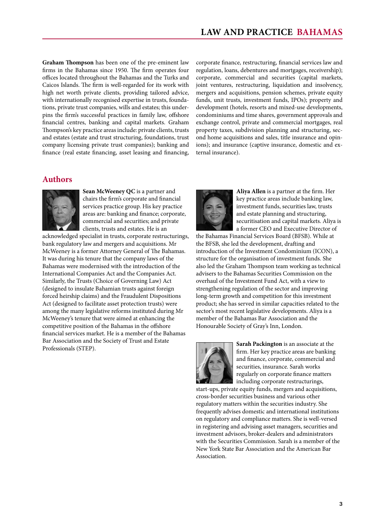**Graham Thompson** has been one of the pre-eminent law firms in the Bahamas since 1950. The firm operates four offices located throughout the Bahamas and the Turks and Caicos Islands. The firm is well-regarded for its work with high net worth private clients, providing tailored advice, with internationally recognised expertise in trusts, foundations, private trust companies, wills and estates; this underpins the firm's successful practices in family law, offshore financial centres, banking and capital markets. Graham Thompson's key practice areas include: private clients, trusts and estates (estate and trust structuring, foundations, trust company licensing private trust companies); banking and finance (real estate financing, asset leasing and financing,

corporate finance, restructuring, financial services law and regulation, loans, debentures and mortgages, receivership); corporate, commercial and securities (capital markets, joint ventures, restructuring, liquidation and insolvency, mergers and acquisitions, pension schemes, private equity funds, unit trusts, investment funds, IPOs); property and development (hotels, resorts and mixed-use developments, condominiums and time shares, government approvals and exchange control, private and commercial mortgages, real property taxes, subdivision planning and structuring, second home acquisitions and sales, title insurance and opinions); and insurance (captive insurance, domestic and external insurance).

## **Authors**



**Sean McWeeney QC** is a partner and chairs the firm's corporate and financial services practice group. His key practice areas are: banking and finance; corporate, commercial and securities; and private clients, trusts and estates. He is an

acknowledged specialist in trusts, corporate restructurings, bank regulatory law and mergers and acquisitions. Mr McWeeney is a former Attorney General of The Bahamas. It was during his tenure that the company laws of the Bahamas were modernised with the introduction of the International Companies Act and the Companies Act. Similarly, the Trusts (Choice of Governing Law) Act (designed to insulate Bahamian trusts against foreign forced heirship claims) and the Fraudulent Dispositions Act (designed to facilitate asset protection trusts) were among the many legislative reforms instituted during Mr McWeeney's tenure that were aimed at enhancing the competitive position of the Bahamas in the offshore financial services market. He is a member of the Bahamas Bar Association and the Society of Trust and Estate Professionals (STEP).



**Aliya Allen** is a partner at the firm. Her key practice areas include banking law, investment funds, securities law, trusts and estate planning and structuring, securitisation and capital markets. Aliya is a former CEO and Executive Director of

the Bahamas Financial Services Board (BFSB). While at the BFSB, she led the development, drafting and introduction of the Investment Condominium (ICON), a structure for the organisation of investment funds. She also led the Graham Thompson team working as technical advisers to the Bahamas Securities Commission on the overhaul of the Investment Fund Act, with a view to strengthening regulation of the sector and improving long-term growth and competition for this investment product; she has served in similar capacities related to the sector's most recent legislative developments. Aliya is a member of the Bahamas Bar Association and the Honourable Society of Gray's Inn, London.



**Sarah Packington** is an associate at the firm. Her key practice areas are banking and finance, corporate, commercial and securities, insurance. Sarah works regularly on corporate finance matters including corporate restructurings,

start-ups, private equity funds, mergers and acquisitions, cross-border securities business and various other regulatory matters within the securities industry. She frequently advises domestic and international institutions on regulatory and compliance matters. She is well-versed in registering and advising asset managers, securities and investment advisors, broker-dealers and administrators with the Securities Commission. Sarah is a member of the New York State Bar Association and the American Bar Association.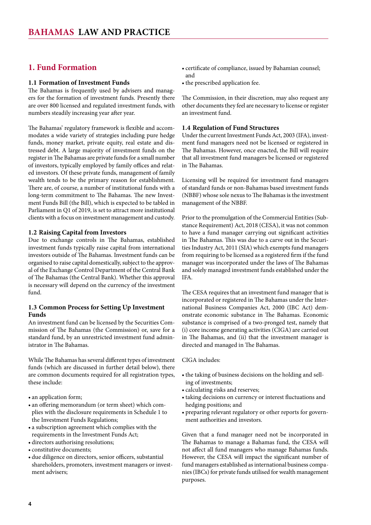## <span id="page-3-0"></span>**1. Fund Formation**

## **1.1 Formation of Investment Funds**

The Bahamas is frequently used by advisers and managers for the formation of investment funds. Presently there are over 800 licensed and regulated investment funds, with numbers steadily increasing year after year.

The Bahamas' regulatory framework is flexible and accommodates a wide variety of strategies including pure hedge funds, money market, private equity, real estate and distressed debt. A large majority of investment funds on the register in The Bahamas are private funds for a small number of investors, typically employed by family offices and related investors. Of these private funds, management of family wealth tends to be the primary reason for establishment. There are, of course, a number of institutional funds with a long-term commitment to The Bahamas. The new Investment Funds Bill (the Bill), which is expected to be tabled in Parliament in Q1 of 2019, is set to attract more institutional clients with a focus on investment management and custody.

## **1.2 Raising Capital from Investors**

Due to exchange controls in The Bahamas, established investment funds typically raise capital from international investors outside of The Bahamas. Investment funds can be organised to raise capital domestically, subject to the approval of the Exchange Control Department of the Central Bank of The Bahamas (the Central Bank). Whether this approval is necessary will depend on the currency of the investment fund.

## **1.3 Common Process for Setting Up Investment Funds**

An investment fund can be licensed by the Securities Commission of The Bahamas (the Commission) or, save for a standard fund, by an unrestricted investment fund administrator in The Bahamas.

While The Bahamas has several different types of investment funds (which are discussed in further detail below), there are common documents required for all registration types, these include:

- an application form;
- an offering memorandum (or term sheet) which complies with the disclosure requirements in Schedule 1 to the Investment Funds Regulations;
- • a subscription agreement which complies with the requirements in the Investment Funds Act;
- directors authorising resolutions;
- constitutive documents:
- • due diligence on directors, senior officers, substantial shareholders, promoters, investment managers or investment advisers;
- • certificate of compliance, issued by Bahamian counsel; and
- the prescribed application fee.

The Commission, in their discretion, may also request any other documents they feel are necessary to license or register an investment fund.

## **1.4 Regulation of Fund Structures**

Under the current Investment Funds Act, 2003 (IFA), investment fund managers need not be licensed or registered in The Bahamas. However, once enacted, the Bill will require that all investment fund managers be licensed or registered in The Bahamas.

Licensing will be required for investment fund managers of standard funds or non-Bahamas based investment funds (NBBF) whose sole nexus to The Bahamas is the investment management of the NBBF.

Prior to the promulgation of the Commercial Entities (Substance Requirement) Act, 2018 (CESA), it was not common to have a fund manager carrying out significant activities in The Bahamas. This was due to a carve out in the Securities Industry Act, 2011 (SIA) which exempts fund managers from requiring to be licensed as a registered firm if the fund manager was incorporated under the laws of The Bahamas and solely managed investment funds established under the IFA.

The CESA requires that an investment fund manager that is incorporated or registered in The Bahamas under the International Business Companies Act, 2000 (IBC Act) demonstrate economic substance in The Bahamas. Economic substance is comprised of a two-pronged test, namely that (i) core income generating activities (CIGA) are carried out in The Bahamas, and (ii) that the investment manager is directed and managed in The Bahamas.

## CIGA includes:

- the taking of business decisions on the holding and selling of investments;
- • calculating risks and reserves;
- taking decisions on currency or interest fluctuations and hedging positions; and
- preparing relevant regulatory or other reports for government authorities and investors.

Given that a fund manager need not be incorporated in The Bahamas to manage a Bahamas fund, the CESA will not affect all fund managers who manage Bahamas funds. However, the CESA will impact the significant number of fund managers established as international business companies (IBCs) for private funds utilised for wealth management purposes.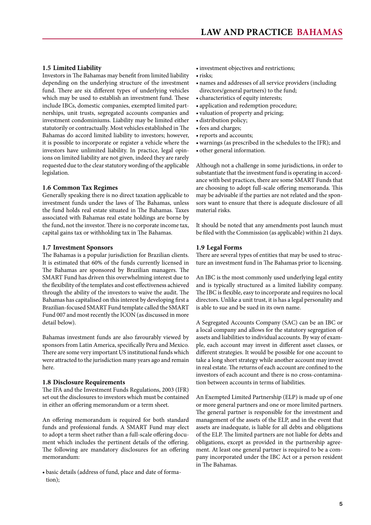## <span id="page-4-0"></span>**1.5 Limited Liability**

Investors in The Bahamas may benefit from limited liability depending on the underlying structure of the investment fund. There are six different types of underlying vehicles which may be used to establish an investment fund. These include IBCs, domestic companies, exempted limited partnerships, unit trusts, segregated accounts companies and investment condominiums. Liability may be limited either statutorily or contractually. Most vehicles established in The Bahamas do accord limited liability to investors; however, it is possible to incorporate or register a vehicle where the investors have unlimited liability. In practice, legal opinions on limited liability are not given, indeed they are rarely requested due to the clear statutory wording of the applicable legislation.

## **1.6 Common Tax Regimes**

Generally speaking there is no direct taxation applicable to investment funds under the laws of The Bahamas, unless the fund holds real estate situated in The Bahamas. Taxes associated with Bahamas real estate holdings are borne by the fund, not the investor. There is no corporate income tax, capital gains tax or withholding tax in The Bahamas.

#### **1.7 Investment Sponsors**

The Bahamas is a popular jurisdiction for Brazilian clients. It is estimated that 60% of the funds currently licensed in The Bahamas are sponsored by Brazilian managers. The SMART Fund has driven this overwhelming interest due to the flexibility of the templates and cost effectiveness achieved through the ability of the investors to waive the audit. The Bahamas has capitalised on this interest by developing first a Brazilian-focused SMART Fund template called the SMART Fund 007 and most recently the ICON (as discussed in more detail below).

Bahamas investment funds are also favourably viewed by sponsors from Latin America, specifically Peru and Mexico. There are some very important US institutional funds which were attracted to the jurisdiction many years ago and remain here.

## **1.8 Disclosure Requirements**

The IFA and the Investment Funds Regulations, 2003 (IFR) set out the disclosures to investors which must be contained in either an offering memorandum or a term sheet.

An offering memorandum is required for both standard funds and professional funds. A SMART Fund may elect to adopt a term sheet rather than a full-scale offering document which includes the pertinent details of the offering. The following are mandatory disclosures for an offering memorandum:

• basic details (address of fund, place and date of formation);

- investment objectives and restrictions;
- risks:
- names and addresses of all service providers (including directors/general partners) to the fund;
- • characteristics of equity interests;
- application and redemption procedure;
- valuation of property and pricing;
- distribution policy;
- fees and charges;
- reports and accounts;
- • warnings (as prescribed in the schedules to the IFR); and
- • other general information.

Although not a challenge in some jurisdictions, in order to substantiate that the investment fund is operating in accordance with best practices, there are some SMART Funds that are choosing to adopt full-scale offering memoranda. This may be advisable if the parties are not related and the sponsors want to ensure that there is adequate disclosure of all material risks.

It should be noted that any amendments post launch must be filed with the Commission (as applicable) within 21 days.

#### **1.9 Legal Forms**

There are several types of entities that may be used to structure an investment fund in The Bahamas prior to licensing.

An IBC is the most commonly used underlying legal entity and is typically structured as a limited liability company. The IBC is flexible, easy to incorporate and requires no local directors. Unlike a unit trust, it is has a legal personality and is able to sue and be sued in its own name.

A Segregated Accounts Company (SAC) can be an IBC or a local company and allows for the statutory segregation of assets and liabilities to individual accounts. By way of example, each account may invest in different asset classes, or different strategies. It would be possible for one account to take a long short strategy while another account may invest in real estate. The returns of each account are confined to the investors of each account and there is no cross-contamination between accounts in terms of liabilities.

An Exempted Limited Partnership (ELP) is made up of one or more general partners and one or more limited partners. The general partner is responsible for the investment and management of the assets of the ELP, and in the event that assets are inadequate, is liable for all debts and obligations of the ELP. The limited partners are not liable for debts and obligations, except as provided in the partnership agreement. At least one general partner is required to be a company incorporated under the IBC Act or a person resident in The Bahamas.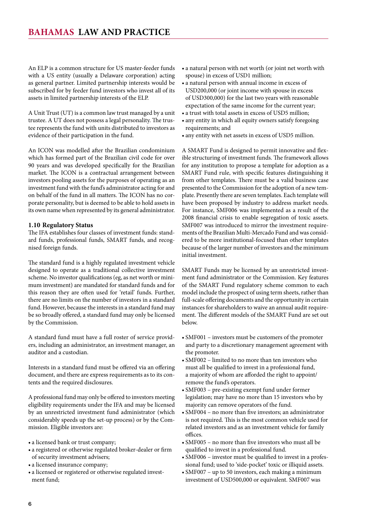<span id="page-5-0"></span>An ELP is a common structure for US master-feeder funds with a US entity (usually a Delaware corporation) acting as general partner. Limited partnership interests would be subscribed for by feeder fund investors who invest all of its assets in limited partnership interests of the ELP.

A Unit Trust (UT) is a common law trust managed by a unit trustee. A UT does not possess a legal personality. The trustee represents the fund with units distributed to investors as evidence of their participation in the fund.

An ICON was modelled after the Brazilian condominium which has formed part of the Brazilian civil code for over 90 years and was developed specifically for the Brazilian market. The ICON is a contractual arrangement between investors pooling assets for the purposes of operating as an investment fund with the fund's administrator acting for and on behalf of the fund in all matters. The ICON has no corporate personality, but is deemed to be able to hold assets in its own name when represented by its general administrator.

## **1.10 Regulatory Status**

The IFA establishes four classes of investment funds: standard funds, professional funds, SMART funds, and recognised foreign funds.

The standard fund is a highly regulated investment vehicle designed to operate as a traditional collective investment scheme. No investor qualifications (eg, as net worth or minimum investment) are mandated for standard funds and for this reason they are often used for 'retail' funds. Further, there are no limits on the number of investors in a standard fund. However, because the interests in a standard fund may be so broadly offered, a standard fund may only be licensed by the Commission.

A standard fund must have a full roster of service providers, including an administrator, an investment manager, an auditor and a custodian.

Interests in a standard fund must be offered via an offering document, and there are express requirements as to its contents and the required disclosures.

A professional fund may only be offered to investors meeting eligibility requirements under the IFA and may be licensed by an unrestricted investment fund administrator (which considerably speeds up the set-up process) or by the Commission. Eligible investors are:

- a licensed bank or trust company;
- a registered or otherwise regulated broker-dealer or firm of security investment advisers;
- a licensed insurance company;
- a licensed or registered or otherwise regulated investment fund;
- • a natural person with net worth (or joint net worth with spouse) in excess of USD1 million;
- • a natural person with annual income in excess of USD200,000 (or joint income with spouse in excess of USD300,000) for the last two years with reasonable expectation of the same income for the current year;
- a trust with total assets in excess of USD5 million;
- any entity in which all equity owners satisfy foregoing requirements; and
- any entity with net assets in excess of USD5 million.

A SMART Fund is designed to permit innovative and flexible structuring of investment funds. The framework allows for any institution to propose a template for adoption as a SMART Fund rule, with specific features distinguishing it from other templates. There must be a valid business case presented to the Commission for the adoption of a new template. Presently there are seven templates. Each template will have been proposed by industry to address market needs. For instance, SMF006 was implemented as a result of the 2008 financial crisis to enable segregation of toxic assets. SMF007 was introduced to mirror the investment requirements of the Brazilian Multi-Mercado Fund and was considered to be more institutional-focused than other templates because of the larger number of investors and the minimum initial investment.

SMART Funds may be licensed by an unrestricted investment fund administrator or the Commission. Key features of the SMART Fund regulatory scheme common to each model include the prospect of using term sheets, rather than full-scale offering documents and the opportunity in certain instances for shareholders to waive an annual audit requirement. The different models of the SMART Fund are set out below.

- SMF001 investors must be customers of the promoter and party to a discretionary management agreement with the promoter.
- • SMF002 limited to no more than ten investors who must all be qualified to invest in a professional fund, a majority of whom are afforded the right to appoint/ remove the fund's operators.
- SMF003 pre-existing exempt fund under former legislation; may have no more than 15 investors who by majority can remove operators of the fund.
- • SMF004 no more than five investors; an administrator is not required. This is the most common vehicle used for related investors and as an investment vehicle for family offices.
- • SMF005 no more than five investors who must all be qualified to invest in a professional fund.
- SMF006 investor must be qualified to invest in a professional fund; used to 'side-pocket' toxic or illiquid assets.
- SMF007 up to 50 investors, each making a minimum investment of USD500,000 or equivalent. SMF007 was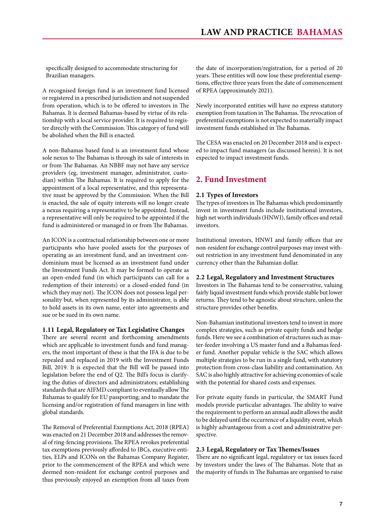<span id="page-6-0"></span>specifically designed to accommodate structuring for Brazilian managers.

A recognised foreign fund is an investment fund licensed or registered in a prescribed jurisdiction and not suspended from operation, which is to be offered to investors in The Bahamas. It is deemed Bahamas-based by virtue of its relationship with a local service provider. It is required to register directly with the Commission. This category of fund will be abolished when the Bill is enacted.

A non-Bahamas based fund is an investment fund whose sole nexus to The Bahamas is through its sale of interests in or from The Bahamas. An NBBF may not have any service providers (eg, investment manager, administrator, custodian) within The Bahamas. It is required to apply for the appointment of a local representative, and this representative must be approved by the Commission. When the Bill is enacted, the sale of equity interests will no longer create a nexus requiring a representative to be appointed. Instead, a representative will only be required to be appointed if the fund is administered or managed in or from The Bahamas.

An ICON is a contractual relationship between one or more participants who have pooled assets for the purposes of operating as an investment fund, and an investment condominium must be licensed as an investment fund under the Investment Funds Act. It may be formed to operate as an open-ended fund (in which participants can call for a redemption of their interests) or a closed-ended fund (in which they may not). The ICON does not possess legal personality but, when represented by its administrator, is able to hold assets in its own name, enter into agreements and sue or be sued in its own name.

## **1.11 Legal, Regulatory or Tax Legislative Changes**

There are several recent and forthcoming amendments which are applicable to investment funds and fund managers, the most important of these is that the IFA is due to be repealed and replaced in 2019 with the Investment Funds Bill, 2019. It is expected that the Bill will be passed into legislation before the end of Q2. The Bill's focus is clarifying the duties of directors and administrators; establishing standards that are AIFMD compliant to eventually allow The Bahamas to qualify for EU passporting; and to mandate the licensing and/or registration of fund managers in line with global standards.

The Removal of Preferential Exemptions Act, 2018 (RPEA) was enacted on 21 December 2018 and addresses the removal of ring-fencing provisions. The RPEA revokes preferential tax exemptions previously afforded to IBCs, executive entities, ELPs and ICONs on the Bahamas Company Register, prior to the commencement of the RPEA and which were deemed non-resident for exchange control purposes and thus previously enjoyed an exemption from all taxes from

the date of incorporation/registration, for a period of 20 years. These entities will now lose these preferential exemptions, effective three years from the date of commencement of RPEA (approximately 2021).

Newly incorporated entities will have no express statutory exemption from taxation in The Bahamas. The revocation of preferential exemptions is not expected to materially impact investment funds established in The Bahamas.

The CESA was enacted on 20 December 2018 and is expected to impact fund managers (as discussed herein). It is not expected to impact investment funds.

## **2. Fund Investment**

## **2.1 Types of Investors**

The types of investors in The Bahamas which predominantly invest in investment funds include institutional investors, high net worth individuals (HNWI), family offices and retail investors.

Institutional investors, HNWI and family offices that are non-resident for exchange control purposes may invest without restriction in any investment fund denominated in any currency other than the Bahamian dollar.

#### **2.2 Legal, Regulatory and Investment Structures**

Investors in The Bahamas tend to be conservative, valuing fairly liquid investment funds which provide stable but lower returns. They tend to be agnostic about structure, unless the structure provides other benefits.

Non-Bahamian institutional investors tend to invest in more complex strategies, such as private equity funds and hedge funds. Here we see a combination of structures such as master-feeder involving a US master fund and a Bahamas feeder fund. Another popular vehicle is the SAC which allows multiple strategies to be run in a single fund, with statutory protection from cross-class liability and contamination. An SAC is also highly attractive for achieving economies of scale with the potential for shared costs and expenses.

For private equity funds in particular, the SMART Fund models provide particular advantages. The ability to waive the requirement to perform an annual audit allows the audit to be delayed until the occurrence of a liquidity event, which is highly advantageous from a cost and administrative perspective.

#### **2.3 Legal, Regulatory or Tax Themes/Issues**

There are no significant legal, regulatory or tax issues faced by investors under the laws of The Bahamas. Note that as the majority of funds in The Bahamas are organised to raise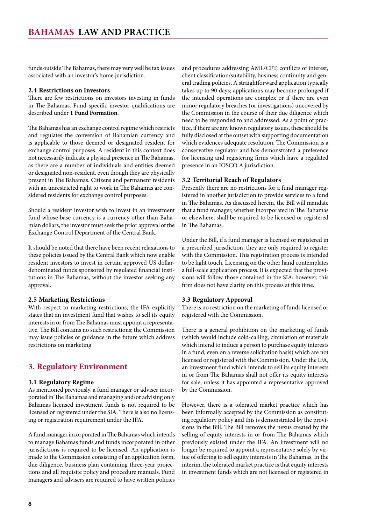<span id="page-7-0"></span>funds outside The Bahamas, there may very well be tax issues associated with an investor's home jurisdiction.

## **2.4 Restrictions on Investors**

There are few restrictions on investors investing in funds in The Bahamas. Fund-specific investor qualifications are described under **1 Fund Formation**.

The Bahamas has an exchange control regime which restricts and regulates the conversion of Bahamian currency and is applicable to those deemed or designated resident for exchange control purposes. A resident in this context does not necessarily indicate a physical presence in The Bahamas, as there are a number of individuals and entities deemed or designated non-resident, even though they are physically present in The Bahamas. Citizens and permanent residents with an unrestricted right to work in The Bahamas are considered residents for exchange control purposes.

Should a resident investor wish to invest in an investment fund whose base currency is a currency other than Bahamian dollars, the investor must seek the prior approval of the Exchange Control Department of the Central Bank.

It should be noted that there have been recent relaxations to these policies issued by the Central Bank which now enable resident investors to invest in certain approved US dollardenominated funds sponsored by regulated financial institutions in The Bahamas, without the investor seeking any approval.

## **2.5 Marketing Restrictions**

With respect to marketing restrictions, the IFA explicitly states that an investment fund that wishes to sell its equity interests in or from The Bahamas must appoint a representative. The Bill contains no such restrictions; the Commission may issue policies or guidance in the future which address restrictions on marketing.

## **3. Regulatory Environment**

## **3.1 Regulatory Regime**

As mentioned previously, a fund manager or adviser incorporated in The Bahamas and managing and/or advising only Bahamas licensed investment funds is not required to be licensed or registered under the SIA. There is also no licensing or registration requirement under the IFA.

A fund manager incorporated in The Bahamas which intends to manage Bahamas funds and funds incorporated in other jurisdictions is required to be licensed. An application is made to the Commission consisting of an application form, due diligence, business plan containing three-year projections and all requisite policy and procedure manuals. Fund managers and advisers are required to have written policies

and procedures addressing AML/CFT, conflicts of interest, client classification/suitability, business continuity and general trading policies. A straightforward application typically takes up to 90 days; applications may become prolonged if the intended operations are complex or if there are even minor regulatory breaches (or investigations) uncovered by the Commission in the course of their due diligence which need to be responded to and addressed. As a point of practice, if there are any known regulatory issues, these should be fully disclosed at the outset with supporting documentation which evidences adequate resolution. The Commission is a conservative regulator and has demonstrated a preference for licensing and registering firms which have a regulated presence in an IOSCO A jurisdiction.

## **3.2 Territorial Reach of Regulators**

Presently there are no restrictions for a fund manager registered in another jurisdiction to provide services to a fund in The Bahamas. As discussed herein, the Bill will mandate that a fund manager, whether incorporated in The Bahamas or elsewhere, shall be required to be licensed or registered in The Bahamas.

Under the Bill, if a fund manager is licensed or registered in a prescribed jurisdiction, they are only required to register with the Commission. This registration process is intended to be light touch. Licensing on the other hand contemplates a full-scale application process. It is expected that the provisions will follow those contained in the SIA; however, this firm does not have clarity on this process at this time.

## **3.3 Regulatory Approval**

There is no restriction on the marketing of funds licensed or registered with the Commission.

There is a general prohibition on the marketing of funds (which would include cold-calling, circulation of materials which intend to induce a person to purchase equity interests in a fund, even on a reverse solicitation basis) which are not licensed or registered with the Commission. Under the IFA, an investment fund which intends to sell its equity interests in or from The Bahamas shall not offer its equity interests for sale, unless it has appointed a representative approved by the Commission.

However, there is a tolerated market practice which has been informally accepted by the Commission as constituting regulatory policy and this is demonstrated by the provisions in the Bill. The Bill removes the nexus created by the selling of equity interests in or from The Bahamas which previously existed under the IFA. An investment will no longer be required to appoint a representative solely by virtue of offering to sell equity interests in The Bahamas. In the interim, the tolerated market practice is that equity interests in investment funds which are not licensed or registered in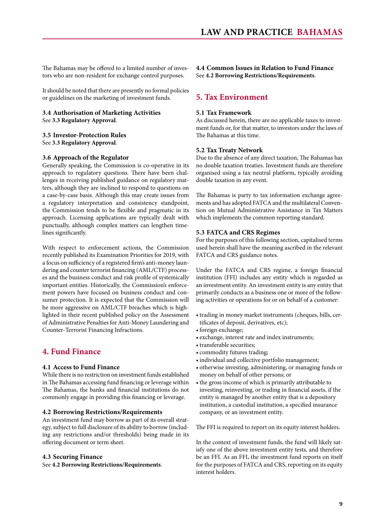<span id="page-8-0"></span>The Bahamas may be offered to a limited number of investors who are non-resident for exchange control purposes.

It should be noted that there are presently no formal policies or guidelines on the marketing of investment funds.

## **3.4 Authorisation of Marketing Activities** See **3.3 Regulatory Approval**.

## **3.5 Investor-Protection Rules**

See **3.3 Regulatory Approval**.

## **3.6 Approach of the Regulator**

Generally speaking, the Commission is co-operative in its approach to regulatory questions. There have been challenges in receiving published guidance on regulatory matters, although they are inclined to respond to questions on a case-by-case basis. Although this may create issues from a regulatory interpretation and consistency standpoint, the Commission tends to be flexible and pragmatic in its approach. Licensing applications are typically dealt with punctually, although complex matters can lengthen timelines significantly.

With respect to enforcement actions, the Commission recently published its Examination Priorities for 2019, with a focus on sufficiency of a registered firm's anti-money laundering and counter terrorist financing (AML/CTF) processes and the business conduct and risk profile of systemically important entities. Historically, the Commission's enforcement powers have focused on business conduct and consumer protection. It is expected that the Commission will be more aggressive on AML/CTF breaches which is highlighted in their recent published policy on the Assessment of Administrative Penalties for Anti-Money Laundering and Counter-Terrorist Financing Infractions.

## **4. Fund Finance**

## **4.1 Access to Fund Finance**

While there is no restriction on investment funds established in The Bahamas accessing fund financing or leverage within The Bahamas, the banks and financial institutions do not commonly engage in providing this financing or leverage.

## **4.2 Borrowing Restrictions/Requirements**

An investment fund may borrow as part of its overall strategy, subject to full disclosure of its ability to borrow (including any restrictions and/or thresholds) being made in its offering document or term sheet.

## **4.3 Securing Finance**

See **4.2 Borrowing Restrictions/Requirements**.

**4.4 Common Issues in Relation to Fund Finance** See **4.2 Borrowing Restrictions/Requirements**.

## **5. Tax Environment**

## **5.1 Tax Framework**

As discussed herein, there are no applicable taxes to investment funds or, for that matter, to investors under the laws of The Bahamas at this time.

## **5.2 Tax Treaty Network**

Due to the absence of any direct taxation, The Bahamas has no double taxation treaties. Investment funds are therefore organised using a tax neutral platform, typically avoiding double taxation in any event.

The Bahamas is party to tax information exchange agreements and has adopted FATCA and the multilateral Convention on Mutual Administrative Assistance in Tax Matters which implements the common reporting standard.

## **5.3 FATCA and CRS Regimes**

For the purposes of this following section, capitalised terms used herein shall have the meaning ascribed in the relevant FATCA and CRS guidance notes.

Under the FATCA and CRS regime, a foreign financial institution (FFI) includes any entity which is regarded as an investment entity. An investment entity is any entity that primarily conducts as a business one or more of the following activities or operations for or on behalf of a customer:

- trading in money market instruments (cheques, bills, certificates of deposit, derivatives, etc);
- foreign exchange;
- exchange, interest rate and index instruments;
- transferable securities;
- • commodity futures trading;
- individual and collective portfolio management;
- • otherwise investing, administering, or managing funds or money on behalf of other persons; or
- the gross income of which is primarily attributable to investing, reinvesting, or trading in financial assets, if the entity is managed by another entity that is a depository institution, a custodial institution, a specified insurance company, or an investment entity.

The FFI is required to report on its equity interest holders.

In the context of investment funds, the fund will likely satisfy one of the above investment entity tests, and therefore be an FFI. As an FFI, the investment fund reports on itself for the purposes of FATCA and CRS, reporting on its equity interest holders.